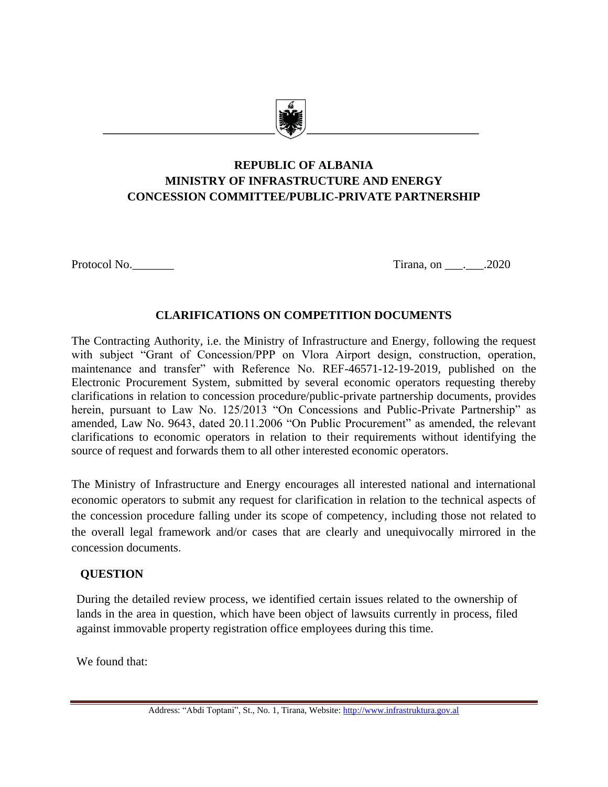

# **REPUBLIC OF ALBANIA MINISTRY OF INFRASTRUCTURE AND ENERGY CONCESSION COMMITTEE/PUBLIC-PRIVATE PARTNERSHIP**

Protocol No. 2020

## **CLARIFICATIONS ON COMPETITION DOCUMENTS**

The Contracting Authority, i.e. the Ministry of Infrastructure and Energy, following the request with subject "Grant of Concession/PPP on Vlora Airport design, construction, operation, maintenance and transfer" with Reference No. REF-46571-12-19-2019, published on the Electronic Procurement System, submitted by several economic operators requesting thereby clarifications in relation to concession procedure/public-private partnership documents, provides herein, pursuant to Law No. 125/2013 "On Concessions and Public-Private Partnership" as amended, Law No. 9643, dated 20.11.2006 "On Public Procurement" as amended, the relevant clarifications to economic operators in relation to their requirements without identifying the source of request and forwards them to all other interested economic operators.

The Ministry of Infrastructure and Energy encourages all interested national and international economic operators to submit any request for clarification in relation to the technical aspects of the concession procedure falling under its scope of competency, including those not related to the overall legal framework and/or cases that are clearly and unequivocally mirrored in the concession documents.

## **QUESTION**

During the detailed review process, we identified certain issues related to the ownership of lands in the area in question, which have been object of lawsuits currently in process, filed against immovable property registration office employees during this time.

We found that: